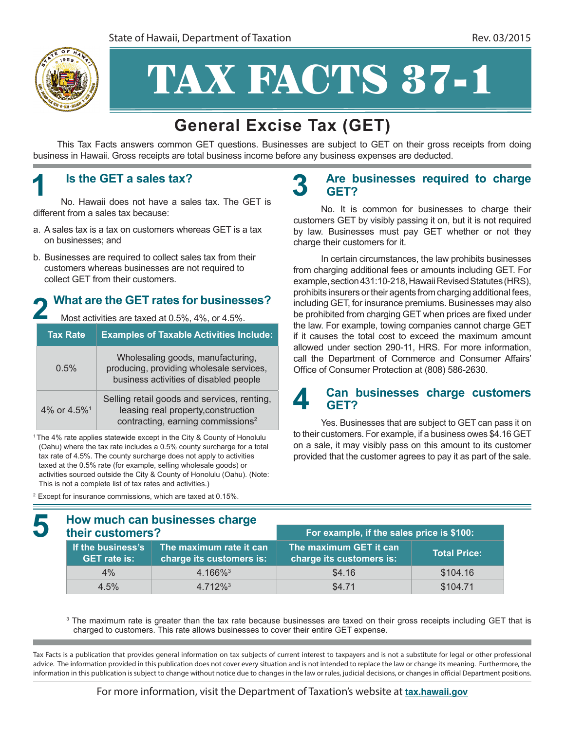

# TAX FACTS 37-1

## **General Excise Tax (GET)**

This Tax Facts answers common GET questions. Businesses are subject to GET on their gross receipts from doing business in Hawaii. Gross receipts are total business income before any business expenses are deducted.

#### **1 Is the GET a sales tax?**

No. Hawaii does not have a sales tax. The GET is different from a sales tax because:

- a. A sales tax is a tax on customers whereas GET is a tax on businesses; and
- b. Businesses are required to collect sales tax from their customers whereas businesses are not required to collect GET from their customers.

#### **2 What are the GET rates for businesses?**

Most activities are taxed at 0.5%, 4%, or 4.5%.

|  | <b>Tax Rate</b>         | <b>Examples of Taxable Activities Include:</b>                                                                                      |  |
|--|-------------------------|-------------------------------------------------------------------------------------------------------------------------------------|--|
|  | 0.5%                    | Wholesaling goods, manufacturing,<br>producing, providing wholesale services,<br>business activities of disabled people             |  |
|  | 4% or 4.5% <sup>1</sup> | Selling retail goods and services, renting,<br>leasing real property, construction<br>contracting, earning commissions <sup>2</sup> |  |

<sup>1</sup> The 4% rate applies statewide except in the City & County of Honolulu (Oahu) where the tax rate includes a 0.5% county surcharge for a total tax rate of 4.5%. The county surcharge does not apply to activities taxed at the 0.5% rate (for example, selling wholesale goods) or activities sourced outside the City & County of Honolulu (Oahu). (Note: This is not a complete list of tax rates and activities.)

2 Except for insurance commissions, which are taxed at 0.15%.

Ξ

#### **3 Are businesses required to charge GET?**

No. It is common for businesses to charge their customers GET by visibly passing it on, but it is not required by law. Businesses must pay GET whether or not they charge their customers for it.

In certain circumstances, the law prohibits businesses from charging additional fees or amounts including GET. For example, section 431:10-218, Hawaii Revised Statutes (HRS), prohibits insurers or their agents from charging additional fees, including GET, for insurance premiums. Businesses may also be prohibited from charging GET when prices are fixed under the law. For example, towing companies cannot charge GET if it causes the total cost to exceed the maximum amount allowed under section 290-11, HRS. For more information, call the Department of Commerce and Consumer Affairs' Office of Consumer Protection at (808) 586‑2630.

#### **4 Can businesses charge customers GET?**

Yes. Businesses that are subject to GET can pass it on to their customers. For example, if a business owes \$4.16 GET on a sale, it may visibly pass on this amount to its customer provided that the customer agrees to pay it as part of the sale.

| How much can businesses charge<br>their customers? |                                                     | For example, if the sales price is \$100:          |                     |
|----------------------------------------------------|-----------------------------------------------------|----------------------------------------------------|---------------------|
| If the business's<br><b>GET rate is:</b>           | The maximum rate it can<br>charge its customers is: | The maximum GET it can<br>charge its customers is: | <b>Total Price:</b> |
| 4%                                                 | $4.166\%$ <sup>3</sup>                              | \$4.16                                             | \$104.16            |
| 4.5%                                               | $4.712\%$ <sup>3</sup>                              | \$4.71                                             | \$104.71            |

<sup>3</sup> The maximum rate is greater than the tax rate because businesses are taxed on their gross receipts including GET that is charged to customers. This rate allows businesses to cover their entire GET expense.

Tax Facts is a publication that provides general information on tax subjects of current interest to taxpayers and is not a substitute for legal or other professional advice. The information provided in this publication does not cover every situation and is not intended to replace the law or change its meaning. Furthermore, the information in this publication is subject to change without notice due to changes in the law or rules, judicial decisions, or changes in official Department positions.